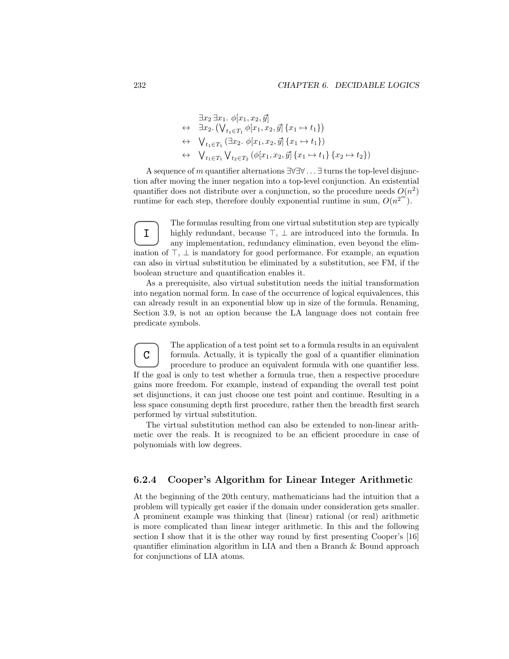$$
\exists x_2 \exists x_1. \phi[x_1, x_2, \vec{y}] \n\leftrightarrow \exists x_2. (\bigvee_{t_1 \in T_1} \phi[x_1, x_2, \vec{y}] \{x_1 \mapsto t_1\}) \n\leftrightarrow \bigvee_{t_1 \in T_1} (\exists x_2. \phi[x_1, x_2, \vec{y}] \{x_1 \mapsto t_1\}) \n\leftrightarrow \bigvee_{t_1 \in T_1} \bigvee_{t_2 \in T_2} (\phi[x_1, x_2, \vec{y}] \{x_1 \mapsto t_1\} \{x_2 \mapsto t_2\})
$$

A sequence of m quantifier alternations  $\exists \forall \exists \forall \dots \exists$  turns the top-level disjunction after moving the inner negation into a top-level conjunction. An existential quantifier does not distribute over a conjunction, so the procedure needs  $O(n^2)$ runtime for each step, therefore doubly exponential runtime in sum,  $O(n^{2^m})$ .

I The formulas resulting from one virtual substitution step are typically highly redundant, because  $\top$ ,  $\bot$  are introduced into the formula. In any implementation, redundancy elimination, even beyond the elimination of  $\top$ ,  $\bot$  is mandatory for good performance. For example, an equation can also in virtual substitution be eliminated by a substitution, see FM, if the boolean structure and quantification enables it.

As a prerequisite, also virtual substitution needs the initial transformation into negation normal form. In case of the occurrence of logical equivalences, this can already result in an exponential blow up in size of the formula. Renaming, Section 3.9, is not an option because the LA language does not contain free predicate symbols.

C The application of a test point set to a formula results in an equivalent formula. Actually, it is typically the goal of a quantifier elimination procedure to produce an equivalent formula with one quantifier less. If the goal is only to test whether a formula true, then a respective procedure gains more freedom. For example, instead of expanding the overall test point set disjunctions, it can just choose one test point and continue. Resulting in a less space consuming depth first procedure, rather then the breadth first search performed by virtual substitution.

The virtual substitution method can also be extended to non-linear arithmetic over the reals. It is recognized to be an efficient procedure in case of polynomials with low degrees.

## 6.2.4 Cooper's Algorithm for Linear Integer Arithmetic

At the beginning of the 20th century, mathematicians had the intuition that a problem will typically get easier if the domain under consideration gets smaller. A prominent example was thinking that (linear) rational (or real) arithmetic is more complicated than linear integer arithmetic. In this and the following section I show that it is the other way round by first presenting Cooper's [16] quantifier elimination algorithm in LIA and then a Branch & Bound approach for conjunctions of LIA atoms.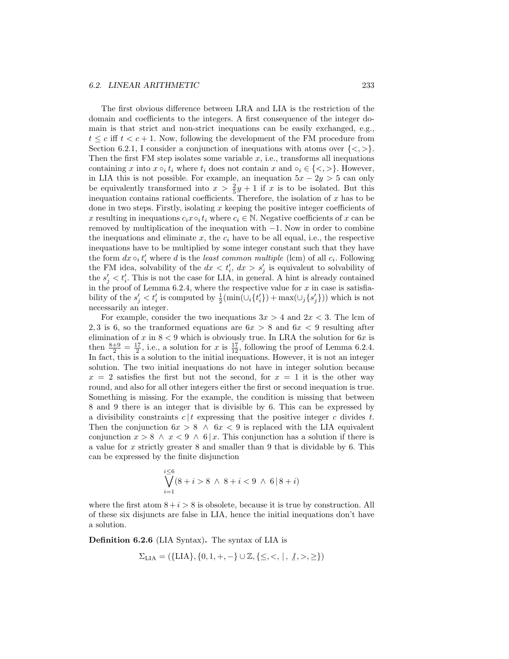## 6.2. LINEAR ARITHMETIC 233

The first obvious difference between LRA and LIA is the restriction of the domain and coefficients to the integers. A first consequence of the integer domain is that strict and non-strict inequations can be easily exchanged, e.g.,  $t \leq c$  iff  $t \leq c+1$ . Now, following the development of the FM procedure from Section 6.2.1, I consider a conjunction of inequations with atoms over  $\{<,>\}.$ Then the first FM step isolates some variable  $x$ , i.e., transforms all inequations containing x into  $x \circ_i t_i$  where  $t_i$  does not contain x and  $\circ_i \in \{ \leq, \geq \}$ . However, in LIA this is not possible. For example, an inequation  $5x - 2y > 5$  can only be equivalently transformed into  $x > \frac{2}{5}y + 1$  if x is to be isolated. But this inequation contains rational coefficients. Therefore, the isolation of  $x$  has to be done in two steps. Firstly, isolating  $x$  keeping the positive integer coefficients of x resulting in inequations  $c_i x \circ_i t_i$  where  $c_i \in \mathbb{N}$ . Negative coefficients of x can be removed by multiplication of the inequation with −1. Now in order to combine the inequations and eliminate  $x$ , the  $c_i$  have to be all equal, i.e., the respective inequations have to be multiplied by some integer constant such that they have the form  $dx \circ_i t'_i$  where d is the least common multiple (lcm) of all  $c_i$ . Following the FM idea, solvability of the  $dx < t'_{i}$ ,  $dx > s'_{j}$  is equivalent to solvability of the  $s'_j < t'_i$ . This is not the case for LIA, in general. A hint is already contained in the proof of Lemma 6.2.4, where the respective value for  $x$  in case is satisfiability of the  $s'_j < t'_i$  is computed by  $\frac{1}{2}(\min(\cup_i \{t'_i\}) + \max(\cup_j \{s'_j\}))$  which is not necessarily an integer.

For example, consider the two inequations  $3x > 4$  and  $2x < 3$ . The lcm of 2, 3 is 6, so the tranformed equations are  $6x > 8$  and  $6x < 9$  resulting after elimination of x in  $8 < 9$  which is obviously true. In LRA the solution for 6x is then  $\frac{8+9}{2} = \frac{17}{2}$ , i.e., a solution for x is  $\frac{17}{12}$ , following the proof of Lemma 6.2.4. In fact, this is a solution to the initial inequations. However, it is not an integer solution. The two initial inequations do not have in integer solution because  $x = 2$  satisfies the first but not the second, for  $x = 1$  it is the other way round, and also for all other integers either the first or second inequation is true. Something is missing. For the example, the condition is missing that between 8 and 9 there is an integer that is divisible by 6. This can be expressed by a divisibility constraints  $c | t$  expressing that the positive integer c divides t. Then the conjunction  $6x > 8 \land 6x < 9$  is replaced with the LIA equivalent conjunction  $x > 8 \land x < 9 \land 6 | x$ . This conjunction has a solution if there is a value for x strictly greater 8 and smaller than 9 that is dividable by 6. This can be expressed by the finite disjunction

$$
\bigvee_{i=1}^{i\leq 6} (8+i > 8 \ \wedge \ 8+i < 9 \ \wedge \ 6 \, | \, 8+i)
$$

where the first atom  $8 + i > 8$  is obsolete, because it is true by construction. All of these six disjuncts are false in LIA, hence the initial inequations don't have a solution.

Definition 6.2.6 (LIA Syntax). The syntax of LIA is

$$
\Sigma_{\text{LIA}} = (\{\text{LIA}\}, \{0, 1, +, -\} \cup \mathbb{Z}, \{\leq, <, |, \#, >, \geq\})
$$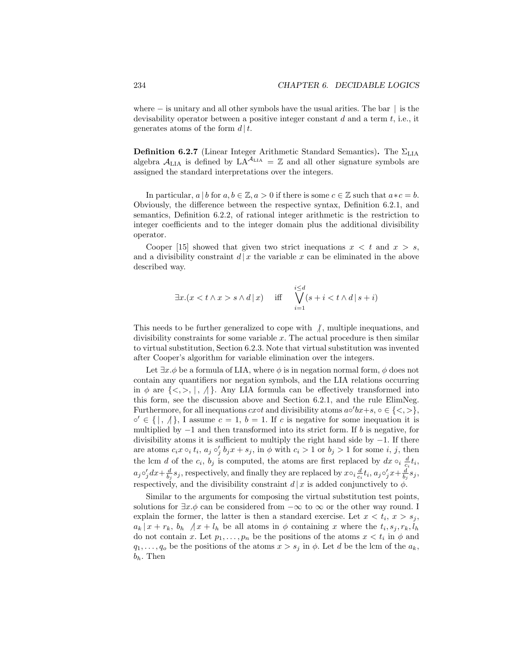where  $-$  is unitary and all other symbols have the usual arities. The bar  $|$  is the devisability operator between a positive integer constant  $d$  and a term  $t$ , i.e., it generates atoms of the form  $d | t$ .

**Definition 6.2.7** (Linear Integer Arithmetic Standard Semantics). The  $\Sigma_{\text{LIA}}$ algebra  $A_{\text{LIA}}$  is defined by  $LA^{A_{\text{LIA}}} = \mathbb{Z}$  and all other signature symbols are assigned the standard interpretations over the integers.

In particular,  $a \mid b$  for  $a, b \in \mathbb{Z}, a > 0$  if there is some  $c \in \mathbb{Z}$  such that  $a * c = b$ . Obviously, the difference between the respective syntax, Definition 6.2.1, and semantics, Definition 6.2.2, of rational integer arithmetic is the restriction to integer coefficients and to the integer domain plus the additional divisibility operator.

Cooper [15] showed that given two strict inequations  $x < t$  and  $x > s$ , and a divisibility constraint  $d | x$  the variable x can be eliminated in the above described way.

$$
\exists x.(x < t \land x > s \land d \mid x) \quad \text{iff} \quad \bigvee_{i=1}^{i \le d} (s + i < t \land d \mid s + i)
$$

This needs to be further generalized to cope with  $\beta$ , multiple inequations, and divisibility constraints for some variable  $x$ . The actual procedure is then similar to virtual substitution, Section 6.2.3. Note that virtual substitution was invented after Cooper's algorithm for variable elimination over the integers.

Let  $\exists x.\phi$  be a formula of LIA, where  $\phi$  is in negation normal form,  $\phi$  does not contain any quantifiers nor negation symbols, and the LIA relations occurring in  $\phi$  are  $\{\langle \cdot, \cdot \rangle, \cdot \}$ . Any LIA formula can be effectively transformed into this form, see the discussion above and Section 6.2.1, and the rule ElimNeg. Furthermore, for all inequations  $cscot$  and divisibility atoms  $a \circ 'bx + s, \circ \in \{ \langle , \rangle \}$ ,  $\circ' \in \{ | , \lambda \}$ , I assume  $c = 1$ ,  $b = 1$ . If c is negative for some inequation it is multiplied by  $-1$  and then transformed into its strict form. If b is negative, for divisibility atoms it is sufficient to multiply the right hand side by  $-1$ . If there are atoms  $c_i x \circ_i t_i$ ,  $a_j \circ'_j b_j x + s_j$ , in  $\phi$  with  $c_i > 1$  or  $b_j > 1$  for some i, j, then the lcm d of the  $c_i$ ,  $b_j$  is computed, the atoms are first replaced by  $dx \circ_i \frac{d}{c_i} t_i$ ,  $a_j \circ'_j dx + \frac{d}{b_j} s_j$ , respectively, and finally they are replaced by  $x \circ_i \frac{d}{c_i} t_i$ ,  $a_j \circ'_j x + \frac{d}{b_j} s_j$ , respectively, and the divisibility constraint  $d | x$  is added conjunctively to  $\phi$ .

Similar to the arguments for composing the virtual substitution test points, solutions for  $\exists x.\phi$  can be considered from  $-\infty$  to  $\infty$  or the other way round. I explain the former, the latter is then a standard exercise. Let  $x < t_i, x > s_j$ ,  $a_k | x + r_k, b_h | / x + l_h$  be all atoms in  $\phi$  containing x where the  $t_i, s_j, r_k, l_h$ do not contain x. Let  $p_1, \ldots, p_n$  be the positions of the atoms  $x < t_i$  in  $\phi$  and  $q_1, \ldots, q_o$  be the positions of the atoms  $x > s_j$  in  $\phi$ . Let d be the lcm of the  $a_k$ ,  $b_h$ . Then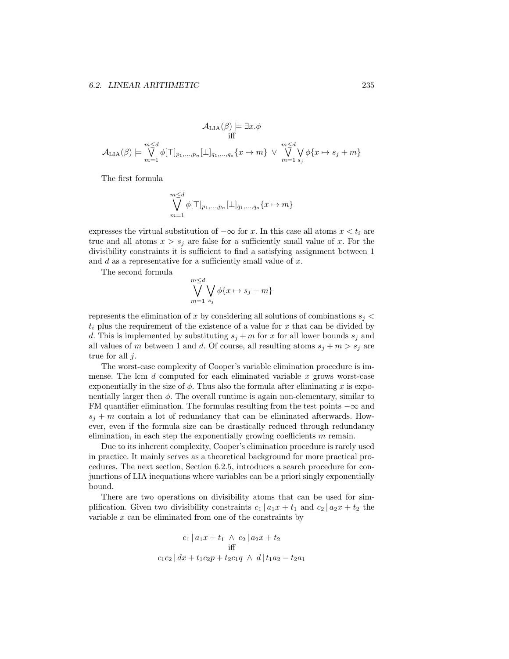$$
\mathcal{A}_{\text{LIA}}(\beta) \models \exists x. \phi
$$
  
iff  

$$
\mathcal{A}_{\text{LIA}}(\beta) \models \bigvee_{m=1}^{m \leq d} \phi[\top]_{p_1, \dots, p_n}[\bot]_{q_1, \dots, q_o} \{x \mapsto m\} \vee \bigvee_{m=1}^{m \leq d} \bigvee_{s_j} \phi\{x \mapsto s_j + m\}
$$

The first formula

$$
\bigvee_{m=1}^{m \leq d} \phi[\top]_{p_1,\ldots,p_n}[\bot]_{q_1,\ldots,q_o} \{x \mapsto m\}
$$

expresses the virtual substitution of  $-\infty$  for x. In this case all atoms  $x < t_i$  are true and all atoms  $x > s_j$  are false for a sufficiently small value of x. For the divisibility constraints it is sufficient to find a satisfying assignment between 1 and  $d$  as a representative for a sufficiently small value of  $x$ .

The second formula

$$
\bigvee_{m=1}^{m \leq d} \bigvee_{s_j} \phi\{x \mapsto s_j + m\}
$$

represents the elimination of x by considering all solutions of combinations  $s_i$  $t_i$  plus the requirement of the existence of a value for x that can be divided by d. This is implemented by substituting  $s_j + m$  for x for all lower bounds  $s_j$  and all values of m between 1 and d. Of course, all resulting atoms  $s_j + m > s_j$  are true for all  $j$ .

The worst-case complexity of Cooper's variable elimination procedure is immense. The lcm  $d$  computed for each eliminated variable  $x$  grows worst-case exponentially in the size of  $\phi$ . Thus also the formula after eliminating x is exponentially larger then  $\phi$ . The overall runtime is again non-elementary, similar to FM quantifier elimination. The formulas resulting from the test points  $-\infty$  and  $s_j + m$  contain a lot of redundancy that can be eliminated afterwards. However, even if the formula size can be drastically reduced through redundancy elimination, in each step the exponentially growing coefficients  $m$  remain.

Due to its inherent complexity, Cooper's elimination procedure is rarely used in practice. It mainly serves as a theoretical background for more practical procedures. The next section, Section 6.2.5, introduces a search procedure for conjunctions of LIA inequations where variables can be a priori singly exponentially bound.

There are two operations on divisibility atoms that can be used for simplification. Given two divisibility constraints  $c_1 | a_1x + t_1$  and  $c_2 | a_2x + t_2$  the variable  $x$  can be eliminated from one of the constraints by

$$
c_1 | a_1x + t_1 \wedge c_2 | a_2x + t_2
$$
  
iff  

$$
c_1c_2 | dx + t_1c_2p + t_2c_1q \wedge d | t_1a_2 - t_2a_1
$$